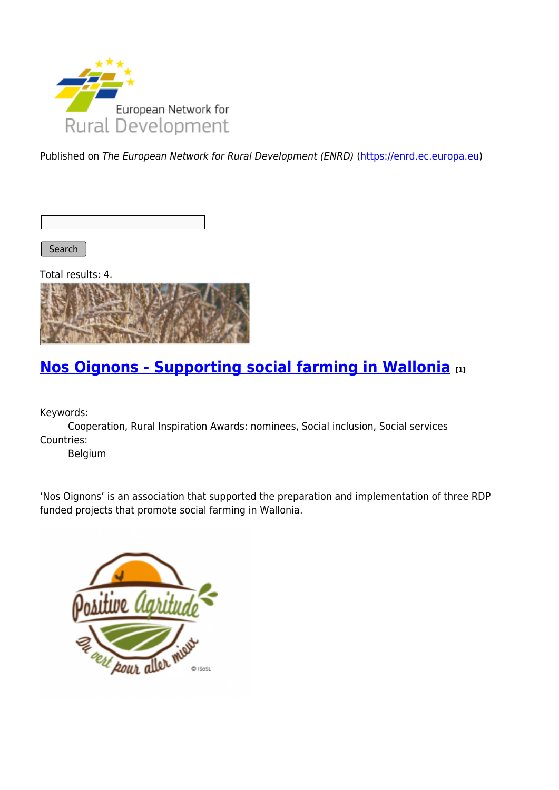

Published on The European Network for Rural Development (ENRD) [\(https://enrd.ec.europa.eu](https://enrd.ec.europa.eu))

Search

Total results: 4.



## **[Nos Oignons - Supporting social farming in Wallonia](https://enrd.ec.europa.eu/projects-practice/nos-oignons-supporting-social-farming-wallonia_en) [1]**

Keywords:

Cooperation, Rural Inspiration Awards: nominees, Social inclusion, Social services Countries:

Belgium

'Nos Oignons' is an association that supported the preparation and implementation of three RDP funded projects that promote social farming in Wallonia.

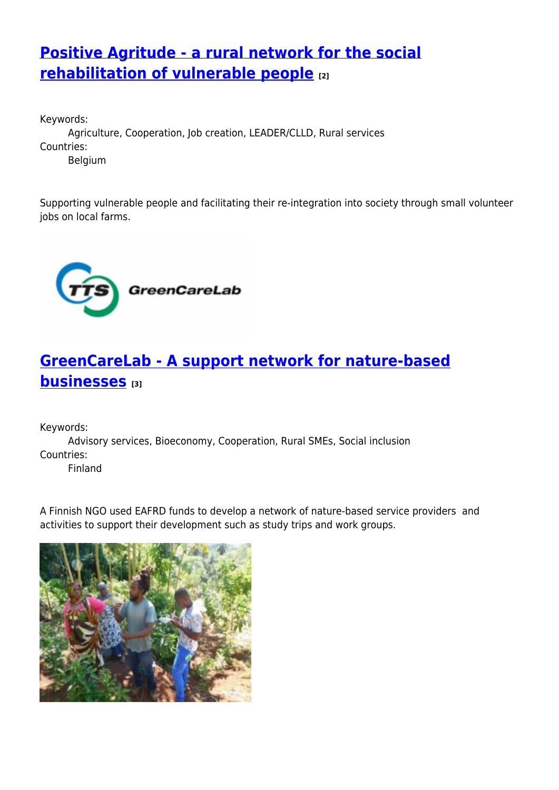## **[Positive Agritude - a rural network for the social](https://enrd.ec.europa.eu/projects-practice/positive-agritude-rural-network-social-rehabilitation-vulnerable-people_en) [rehabilitation of vulnerable people](https://enrd.ec.europa.eu/projects-practice/positive-agritude-rural-network-social-rehabilitation-vulnerable-people_en) [2]**

Keywords: Agriculture, Cooperation, Job creation, LEADER/CLLD, Rural services Countries: Belgium

Supporting vulnerable people and facilitating their re-integration into society through small volunteer jobs on local farms.



# **[GreenCareLab - A support network for nature-based](https://enrd.ec.europa.eu/projects-practice/greencarelab-support-network-nature-based-businesses_en) [businesses](https://enrd.ec.europa.eu/projects-practice/greencarelab-support-network-nature-based-businesses_en) [3]**

Keywords:

Advisory services, Bioeconomy, Cooperation, Rural SMEs, Social inclusion Countries:

Finland

A Finnish NGO used EAFRD funds to develop a network of nature-based service providers and activities to support their development such as study trips and work groups.